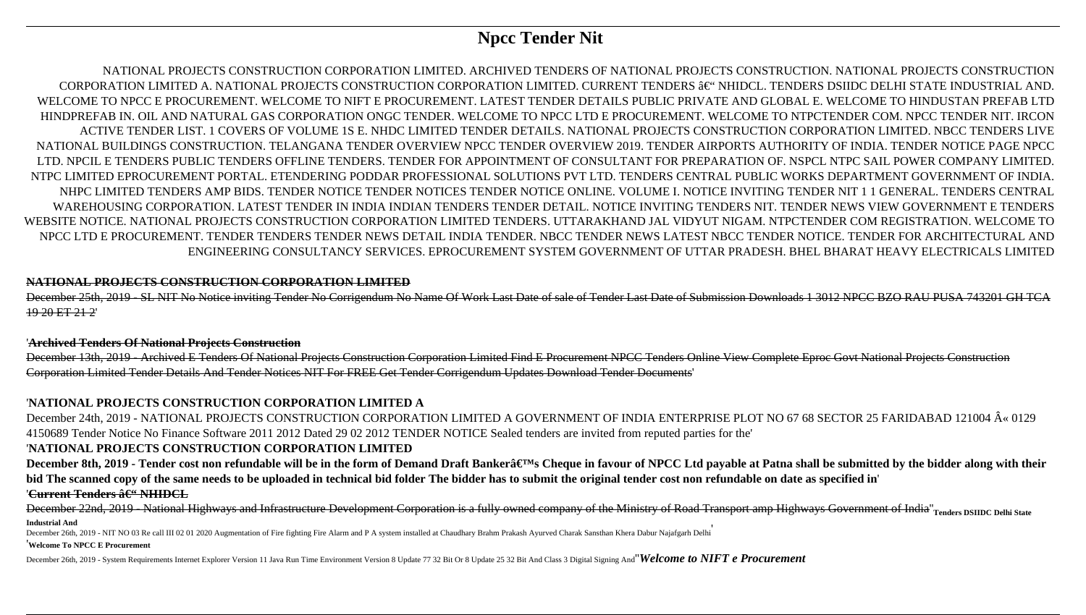# **Npcc Tender Nit**

NATIONAL PROJECTS CONSTRUCTION CORPORATION LIMITED. ARCHIVED TENDERS OF NATIONAL PROJECTS CONSTRUCTION. NATIONAL PROJECTS CONSTRUCTION CORPORATION LIMITED A. NATIONAL PROJECTS CONSTRUCTION CORPORATION LIMITED. CURRENT TENDERS  $\hat{a}\in$ " NHIDCL. TENDERS DSIIDC DELHI STATE INDUSTRIAL AND. WELCOME TO NPCC E PROCUREMENT. WELCOME TO NIFT E PROCUREMENT. LATEST TENDER DETAILS PUBLIC PRIVATE AND GLOBAL E. WELCOME TO HINDUSTAN PREFAB LTD HINDPREFAB IN. OIL AND NATURAL GAS CORPORATION ONGC TENDER. WELCOME TO NPCC LTD E PROCUREMENT. WELCOME TO NTPCTENDER COM. NPCC TENDER NIT. IRCON ACTIVE TENDER LIST. 1 COVERS OF VOLUME 1S E. NHDC LIMITED TENDER DETAILS. NATIONAL PROJECTS CONSTRUCTION CORPORATION LIMITED. NBCC TENDERS LIVE NATIONAL BUILDINGS CONSTRUCTION. TELANGANA TENDER OVERVIEW NPCC TENDER OVERVIEW 2019. TENDER AIRPORTS AUTHORITY OF INDIA. TENDER NOTICE PAGE NPCC LTD. NPCIL E TENDERS PUBLIC TENDERS OFFLINE TENDERS. TENDER FOR APPOINTMENT OF CONSULTANT FOR PREPARATION OF. NSPCL NTPC SAIL POWER COMPANY LIMITED. NTPC LIMITED EPROCUREMENT PORTAL. ETENDERING PODDAR PROFESSIONAL SOLUTIONS PVT LTD. TENDERS CENTRAL PUBLIC WORKS DEPARTMENT GOVERNMENT OF INDIA. NHPC LIMITED TENDERS AMP BIDS. TENDER NOTICE TENDER NOTICES TENDER NOTICE ONLINE. VOLUME I. NOTICE INVITING TENDER NIT 1 1 GENERAL. TENDERS CENTRAL WAREHOUSING CORPORATION. LATEST TENDER IN INDIA INDIAN TENDERS TENDER DETAIL. NOTICE INVITING TENDERS NIT. TENDER NEWS VIEW GOVERNMENT E TENDERS WEBSITE NOTICE. NATIONAL PROJECTS CONSTRUCTION CORPORATION LIMITED TENDERS. UTTARAKHAND JAL VIDYUT NIGAM. NTPCTENDER COM REGISTRATION. WELCOME TO NPCC LTD E PROCUREMENT. TENDER TENDERS TENDER NEWS DETAIL INDIA TENDER. NBCC TENDER NEWS LATEST NBCC TENDER NOTICE. TENDER FOR ARCHITECTURAL AND ENGINEERING CONSULTANCY SERVICES. EPROCUREMENT SYSTEM GOVERNMENT OF UTTAR PRADESH. BHEL BHARAT HEAVY ELECTRICALS LIMITED

December 24th, 2019 - NATIONAL PROJECTS CONSTRUCTION CORPORATION LIMITED A GOVERNMENT OF INDIA ENTERPRISE PLOT NO 67 68 SECTOR 25 FARIDABAD 121004 « 0129 4150689 Tender Notice No Finance Software 2011 2012 Dated 29 02 2012 TENDER NOTICE Sealed tenders are invited from reputed parties for the'

## **NATIONAL PROJECTS CONSTRUCTION CORPORATION LIMITED**

December 25th, 2019 - SL NIT No Notice inviting Tender No Corrigendum No Name Of Work Last Date of sale of Tender Last Date of Submission Downloads 1 3012 NPCC BZO RAU PUSA 743201 GH TCA 19 20 ET 21 2'

### '**Archived Tenders Of National Projects Construction**

December 13th, 2019 - Archived E Tenders Of National Projects Construction Corporation Limited Find E Procurement NPCC Tenders Online View Complete Eproc Govt National Projects Construction Corporation Limited Tender Details And Tender Notices NIT For FREE Get Tender Corrigendum Updates Download Tender Documents'

# '**NATIONAL PROJECTS CONSTRUCTION CORPORATION LIMITED A**

## '**NATIONAL PROJECTS CONSTRUCTION CORPORATION LIMITED**

December 8th, 2019 - Tender cost non refundable will be in the form of Demand Draft Bankera€™s Cheque in favour of NPCC Ltd payable at Patna shall be submitted by the bidder along with their **bid The scanned copy of the same needs to be uploaded in technical bid folder The bidder has to submit the original tender cost non refundable on date as specified in**' '<del>Current Tenders â€" NHIDCL</del>

December 22nd, 2019 - National Highways and Infrastructure Development Corporation is a fully owned company of the Ministry of Road Transport amp Highways Government of India''**Tenders DSIIDC Delhi State Industrial And**

December 26th, 2019 - NIT NO 03 Re call III 02 01 2020 Augmentation of Fire fighting Fire Alarm and P A system installed at Chaudhary Brahm Prakash Ayurved Charak Sansthan Khera Dabur Najafgarh Delhi

#### '**Welcome To NPCC E Procurement**

December 26th, 2019 - System Requirements Internet Explorer Version 11 Java Run Time Environment Version 8 Update 77 32 Bit Or 8 Update 25 32 Bit And Class 3 Digital Signing And''*Welcome to NIFT e Procurement*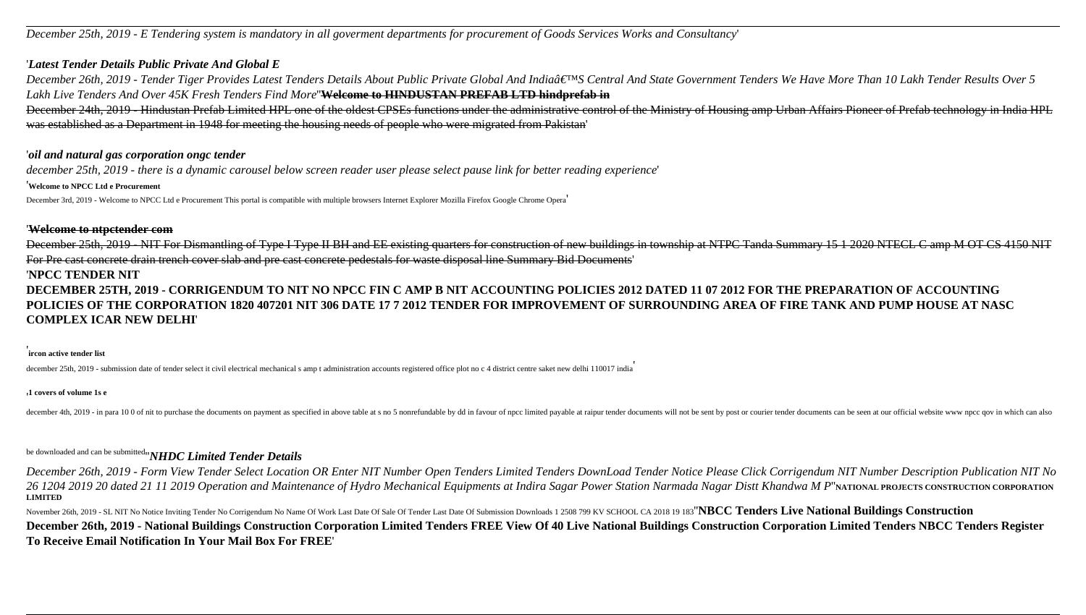*December 25th, 2019 - E Tendering system is mandatory in all goverment departments for procurement of Goods Services Works and Consultancy*'

### '*Latest Tender Details Public Private And Global E*

December 26th, 2019 - Tender Tiger Provides Latest Tenders Details About Public Private Global And India'S Central And State Government Tenders We Have More Than 10 Lakh Tender Results Over 5 *Lakh Live Tenders And Over 45K Fresh Tenders Find More*''**Welcome to HINDUSTAN PREFAB LTD hindprefab in** December 24th, 2019 - Hindustan Prefab Limited HPL one of the oldest CPSEs functions under the administrative control of the Ministry of Housing amp Urban Affairs Pioneer of Prefab technology in India HPL

was established as a Department in 1948 for meeting the housing needs of people who were migrated from Pakistan'

### '*oil and natural gas corporation ongc tender*

*december 25th, 2019 - there is a dynamic carousel below screen reader user please select pause link for better reading experience*'

'**Welcome to NPCC Ltd e Procurement**

December 3rd, 2019 - Welcome to NPCC Ltd e Procurement This portal is compatible with multiple browsers Internet Explorer Mozilla Firefox Google Chrome Opera'

### '**Welcome to ntpctender com**

December 25th, 2019 - NIT For Dismantling of Type I Type II BH and EE existing quarters for construction of new buildings in township at NTPC Tanda Summary 15 1 2020 NTECL C amp M OT CS 4150 NIT For Pre cast concrete drain trench cover slab and pre cast concrete pedestals for waste disposal line Summary Bid Documents'

### '**NPCC TENDER NIT**

November 26th, 2019 - SL NIT No Notice Inviting Tender No Corrigendum No Name Of Work Last Date Of Sale Of Tender Last Date Of Submission Downloads 1 2508 799 KV SCHOOL CA 2018 19 183"NBCC Tenders Live National Buildings C **December 26th, 2019 - National Buildings Construction Corporation Limited Tenders FREE View Of 40 Live National Buildings Construction Corporation Limited Tenders NBCC Tenders Register To Receive Email Notification In Your Mail Box For FREE**'

**DECEMBER 25TH, 2019 - CORRIGENDUM TO NIT NO NPCC FIN C AMP B NIT ACCOUNTING POLICIES 2012 DATED 11 07 2012 FOR THE PREPARATION OF ACCOUNTING POLICIES OF THE CORPORATION 1820 407201 NIT 306 DATE 17 7 2012 TENDER FOR IMPROVEMENT OF SURROUNDING AREA OF FIRE TANK AND PUMP HOUSE AT NASC COMPLEX ICAR NEW DELHI**'

### ' **ircon active tender list**

december 25th, 2019 - submission date of tender select it civil electrical mechanical s amp t administration accounts registered office plot no c 4 district centre saket new delhi 110017 india

#### '**1 covers of volume 1s e**

december 4th, 2019 - in para 10 0 of mit to purchase the documents on payment as specified in above table at s no 5 nonrefundable by dd in favour of npcc limited payable at raipur tender documents will not be sent by post

# be downloaded and can be submitted''*NHDC Limited Tender Details*

*December 26th, 2019 - Form View Tender Select Location OR Enter NIT Number Open Tenders Limited Tenders DownLoad Tender Notice Please Click Corrigendum NIT Number Description Publication NIT No 26 1204 2019 20 dated 21 11 2019 Operation and Maintenance of Hydro Mechanical Equipments at Indira Sagar Power Station Narmada Nagar Distt Khandwa M P*''**NATIONAL PROJECTS CONSTRUCTION CORPORATION LIMITED**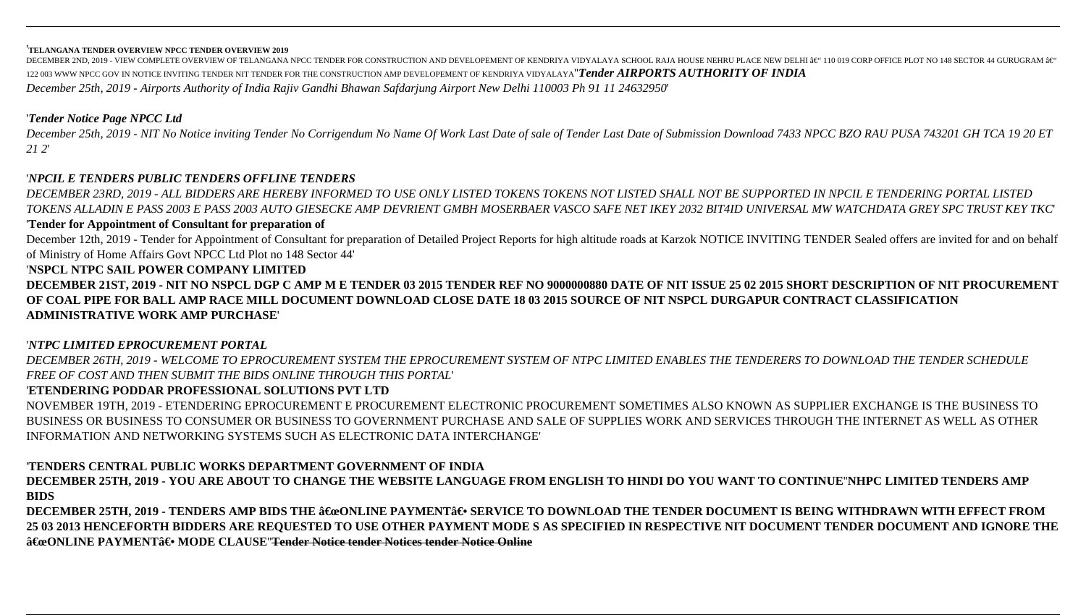#### '**TELANGANA TENDER OVERVIEW NPCC TENDER OVERVIEW 2019**

DECEMBER 2ND, 2019 - VIEW COMPLETE OVERVIEW OF TELANGANA NPCC TENDER FOR CONSTRUCTION AND DEVELOPEMENT OF KENDRIYA VIDYALAYA SCHOOL RAJA HOUSE NEHRU PLACE NEW DELHI â $\in$ " 110 019 CORP OFFICE PLOT NO 148 SECTOR 44 GURUGRA 122 003 WWW NPCC GOV IN NOTICE INVITING TENDER NIT TENDER FOR THE CONSTRUCTION AMP DEVELOPEMENT OF KENDRIYA VIDYALAYA''*Tender AIRPORTS AUTHORITY OF INDIA December 25th, 2019 - Airports Authority of India Rajiv Gandhi Bhawan Safdarjung Airport New Delhi 110003 Ph 91 11 24632950*'

# '*Tender Notice Page NPCC Ltd*

*December 25th, 2019 - NIT No Notice inviting Tender No Corrigendum No Name Of Work Last Date of sale of Tender Last Date of Submission Download 7433 NPCC BZO RAU PUSA 743201 GH TCA 19 20 ET 21 2*'

# '*NPCIL E TENDERS PUBLIC TENDERS OFFLINE TENDERS*

*DECEMBER 23RD, 2019 - ALL BIDDERS ARE HEREBY INFORMED TO USE ONLY LISTED TOKENS TOKENS NOT LISTED SHALL NOT BE SUPPORTED IN NPCIL E TENDERING PORTAL LISTED TOKENS ALLADIN E PASS 2003 E PASS 2003 AUTO GIESECKE AMP DEVRIENT GMBH MOSERBAER VASCO SAFE NET IKEY 2032 BIT4ID UNIVERSAL MW WATCHDATA GREY SPC TRUST KEY TKC*'

## '**Tender for Appointment of Consultant for preparation of**

December 12th, 2019 - Tender for Appointment of Consultant for preparation of Detailed Project Reports for high altitude roads at Karzok NOTICE INVITING TENDER Sealed offers are invited for and on behalf of Ministry of Home Affairs Govt NPCC Ltd Plot no 148 Sector 44'

## '**NSPCL NTPC SAIL POWER COMPANY LIMITED**

**DECEMBER 21ST, 2019 - NIT NO NSPCL DGP C AMP M E TENDER 03 2015 TENDER REF NO 9000000880 DATE OF NIT ISSUE 25 02 2015 SHORT DESCRIPTION OF NIT PROCUREMENT OF COAL PIPE FOR BALL AMP RACE MILL DOCUMENT DOWNLOAD CLOSE DATE 18 03 2015 SOURCE OF NIT NSPCL DURGAPUR CONTRACT CLASSIFICATION ADMINISTRATIVE WORK AMP PURCHASE**'

## '*NTPC LIMITED EPROCUREMENT PORTAL*

*DECEMBER 26TH, 2019 - WELCOME TO EPROCUREMENT SYSTEM THE EPROCUREMENT SYSTEM OF NTPC LIMITED ENABLES THE TENDERERS TO DOWNLOAD THE TENDER SCHEDULE FREE OF COST AND THEN SUBMIT THE BIDS ONLINE THROUGH THIS PORTAL*'

# '**ETENDERING PODDAR PROFESSIONAL SOLUTIONS PVT LTD**

NOVEMBER 19TH, 2019 - ETENDERING EPROCUREMENT E PROCUREMENT ELECTRONIC PROCUREMENT SOMETIMES ALSO KNOWN AS SUPPLIER EXCHANGE IS THE BUSINESS TO BUSINESS OR BUSINESS TO CONSUMER OR BUSINESS TO GOVERNMENT PURCHASE AND SALE OF SUPPLIES WORK AND SERVICES THROUGH THE INTERNET AS WELL AS OTHER INFORMATION AND NETWORKING SYSTEMS SUCH AS ELECTRONIC DATA INTERCHANGE'

# '**TENDERS CENTRAL PUBLIC WORKS DEPARTMENT GOVERNMENT OF INDIA**

**DECEMBER 25TH, 2019 - YOU ARE ABOUT TO CHANGE THE WEBSITE LANGUAGE FROM ENGLISH TO HINDI DO YOU WANT TO CONTINUE**''**NHPC LIMITED TENDERS AMP BIDS**

DECEMBER 25TH, 2019 - TENDERS AMP BIDS THE "ONLINE PAYMENT― SERVICE TO DOWNLOAD THE TENDER DOCUMENT IS BEING WITHDRAWN WITH EFFECT FROM **25 03 2013 HENCEFORTH BIDDERS ARE REQUESTED TO USE OTHER PAYMENT MODE S AS SPECIFIED IN RESPECTIVE NIT DOCUMENT TENDER DOCUMENT AND IGNORE THE**  $\hat{a} \in \Omega$  ONLINE PAYMENT $\hat{a} \in \Omega$ <sup>'</sup> MODE CLAUSE<del>Tender Notice tender Notices tender Notice Online</del>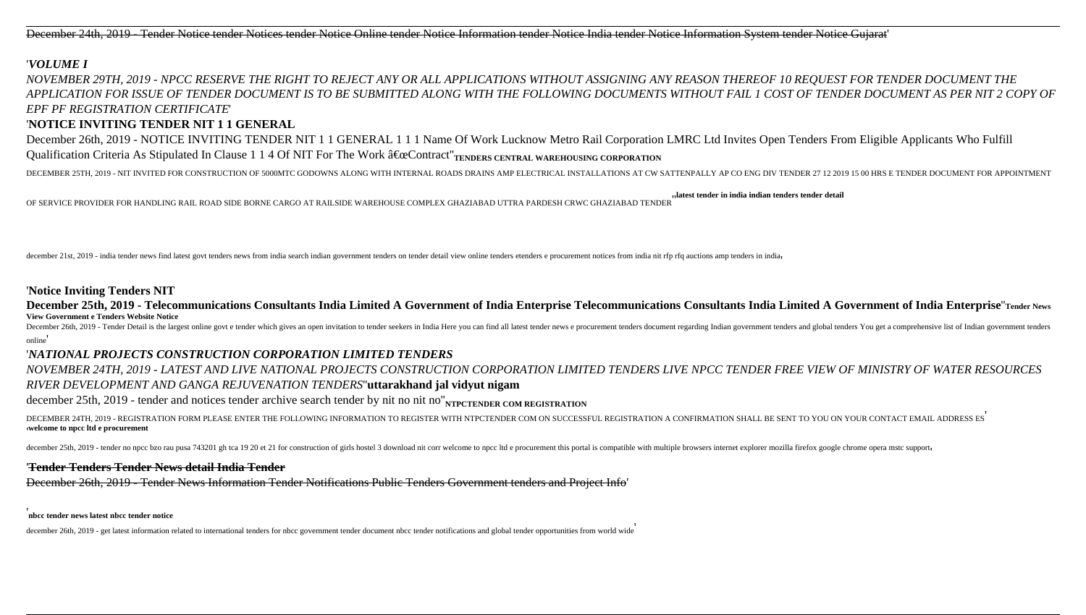December 24th, 2019 - Tender Notice tender Notices tender Notice Online tender Notice Information tender Notice India tender Notice Information System tender Notice Gujarat'

### '*VOLUME I*

December 26th, 2019 - NOTICE INVITING TENDER NIT 1 1 GENERAL 1 1 1 Name Of Work Lucknow Metro Rail Corporation LMRC Ltd Invites Open Tenders From Eligible Applicants Who Fulfill Qualification Criteria As Stipulated In Clause 1 1 4 Of NIT For The Work  $â€\alpha$ Contract"<sub>TENDERS CENTRAL</sub> WAREHOUSING CORPORATION

DECEMBER 25TH, 2019 - NIT INVITED FOR CONSTRUCTION OF 5000MTC GODOWNS ALONG WITH INTERNAL ROADS DRAINS AMP ELECTRICAL INSTALLATIONS AT CW SATTENPALLY AP CO ENG DIV TENDER 27 12 2019 15 00 HRS E TENDER DOCUMENT FOR APPOINTM

*NOVEMBER 29TH, 2019 - NPCC RESERVE THE RIGHT TO REJECT ANY OR ALL APPLICATIONS WITHOUT ASSIGNING ANY REASON THEREOF 10 REQUEST FOR TENDER DOCUMENT THE APPLICATION FOR ISSUE OF TENDER DOCUMENT IS TO BE SUBMITTED ALONG WITH THE FOLLOWING DOCUMENTS WITHOUT FAIL 1 COST OF TENDER DOCUMENT AS PER NIT 2 COPY OF EPF PF REGISTRATION CERTIFICATE*'

# '**NOTICE INVITING TENDER NIT 1 1 GENERAL**

December 26th, 2019 - Tender Detail is the largest online govt e tender which gives an open invitation to tender seekers in India Here you can find all latest tender news e procurement tenders document regarding Indian gov online'

OF SERVICE PROVIDER FOR HANDLING RAIL ROAD SIDE BORNE CARGO AT RAILSIDE WAREHOUSE COMPLEX GHAZIABAD UTTRA PARDESH CRWC GHAZIABAD TENDER''**latest tender in india indian tenders tender detail**

december 21st, 2019 - india tender news find latest govt tenders news from india search indian government tenders on tender detail view online tenders etenders e procurement notices from india nit rfp rfq auctions amp tend

### '**Notice Inviting Tenders NIT**

**December 25th, 2019 - Telecommunications Consultants India Limited A Government of India Enterprise Telecommunications Consultants India Limited A Government of India Enterprise**''**Tender News View Government e Tenders Website Notice**

## '*NATIONAL PROJECTS CONSTRUCTION CORPORATION LIMITED TENDERS*

*NOVEMBER 24TH, 2019 - LATEST AND LIVE NATIONAL PROJECTS CONSTRUCTION CORPORATION LIMITED TENDERS LIVE NPCC TENDER FREE VIEW OF MINISTRY OF WATER RESOURCES RIVER DEVELOPMENT AND GANGA REJUVENATION TENDERS*''**uttarakhand jal vidyut nigam**

december 25th, 2019 - tender and notices tender archive search tender by nit no nit no"<sub>NTPCTENDER</sub> COM REGISTRATION

DECEMBER 24TH, 2019 - REGISTRATION FORM PLEASE ENTER THE FOLLOWING INFORMATION TO REGISTER WITH NTPCTENDER COM ON SUCCESSFUL REGISTRATION A CONFIRMATION SHALL BE SENT TO YOU ON YOUR CONTACT EMAIL ADDRESS ES ''**welcome to npcc ltd e procurement**

december 25th, 2019 - tender no npcc bzo rau pusa 743201 gh tca 19 20 et 21 for construction of girls hostel 3 download nit corr welcome to npcc ltd e procurement this portal is compatible with multiple browsers internet e

### '**Tender Tenders Tender News detail India Tender**

December 26th, 2019 - Tender News Information Tender Notifications Public Tenders Government tenders and Project Info'

'**nbcc tender news latest nbcc tender notice**

december 26th, 2019 - get latest information related to international tenders for nbcc government tender document nbcc tender notifications and global tender opportunities from world wide